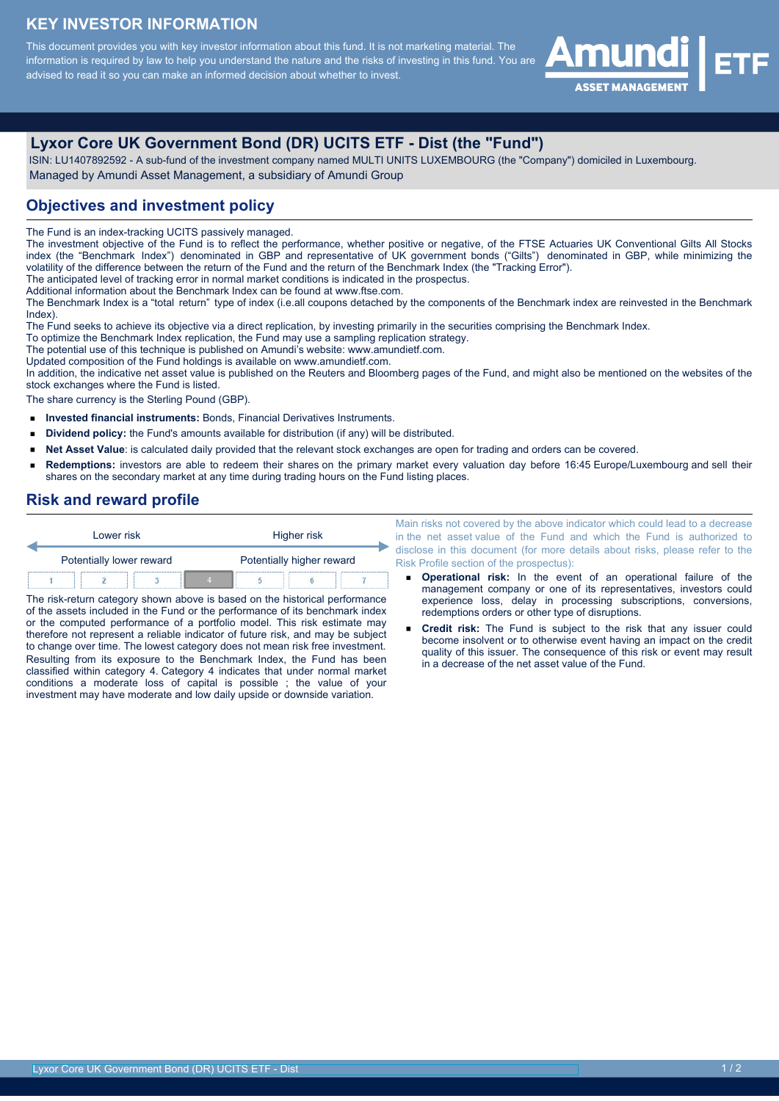# **KEY INVESTOR INFORMATION**

This document provides you with key investor information about this fund. It is not marketing material. The information is required by law to help you understand the nature and the risks of investing in this fund. You are advised to read it so you can make an informed decision about whether to invest.



# **Lyxor Core UK Government Bond (DR) UCITS ETF - Dist (the "Fund")**

 ISIN: LU1407892592 - A sub-fund of the investment company named MULTI UNITS LUXEMBOURG (the "Company") domiciled in Luxembourg. Managed by Amundi Asset Management, a subsidiary of Amundi Group

# **Objectives and investment policy**

The Fund is an index-tracking UCITS passively managed.

The investment objective of the Fund is to reflect the performance, whether positive or negative, of the FTSE Actuaries UK Conventional Gilts All Stocks index (the "Benchmark Index") denominated in GBP and representative of UK government bonds ("Gilts") denominated in GBP, while minimizing the volatility of the difference between the return of the Fund and the return of the Benchmark Index (the "Tracking Error").

The anticipated level of tracking error in normal market conditions is indicated in the prospectus.

Additional information about the Benchmark Index can be found at www.ftse.com.

The Benchmark Index is a "total return" type of index (i.e.all coupons detached by the components of the Benchmark index are reinvested in the Benchmark Index).

The Fund seeks to achieve its objective via a direct replication, by investing primarily in the securities comprising the Benchmark Index.

To optimize the Benchmark Index replication, the Fund may use a sampling replication strategy.

The potential use of this technique is published on Amundi's website: www.amundietf.com.

Updated composition of the Fund holdings is available on www.amundietf.com.

In addition, the indicative net asset value is published on the Reuters and Bloomberg pages of the Fund, and might also be mentioned on the websites of the stock exchanges where the Fund is listed.

The share currency is the Sterling Pound (GBP).

- **Invested financial instruments:** Bonds, Financial Derivatives Instruments.
- $\blacksquare$ **Dividend policy:** the Fund's amounts available for distribution (if any) will be distributed.
- **Net Asset Value**: is calculated daily provided that the relevant stock exchanges are open for trading and orders can be covered.  $\blacksquare$
- **Redemptions:** investors are able to redeem their shares on the primary market every valuation day before 16:45 Europe/Luxembourg and sell their shares on the secondary market at any time during trading hours on the Fund listing places.

#### **Risk and reward profile**

| Lower risk               |  |  |                           | Higher risk |  |  |
|--------------------------|--|--|---------------------------|-------------|--|--|
| Potentially lower reward |  |  | Potentially higher reward |             |  |  |
|                          |  |  |                           |             |  |  |

The risk-return category shown above is based on the historical performance of the assets included in the Fund or the performance of its benchmark index or the computed performance of a portfolio model. This risk estimate may therefore not represent a reliable indicator of future risk, and may be subject to change over time. The lowest category does not mean risk free investment. Resulting from its exposure to the Benchmark Index, the Fund has been classified within category 4. Category 4 indicates that under normal market conditions a moderate loss of capital is possible ; the value of your investment may have moderate and low daily upside or downside variation.

Main risks not covered by the above indicator which could lead to a decrease in the net asset value of the Fund and which the Fund is authorized to disclose in this document (for more details about risks, please refer to the Risk Profile section of the prospectus):

- **Operational risk:** In the event of an operational failure of the management company or one of its representatives, investors could experience loss, delay in processing subscriptions, conversions, redemptions orders or other type of disruptions.
- **Credit risk:** The Fund is subject to the risk that any issuer could become insolvent or to otherwise event having an impact on the credit quality of this issuer. The consequence of this risk or event may result in a decrease of the net asset value of the Fund.